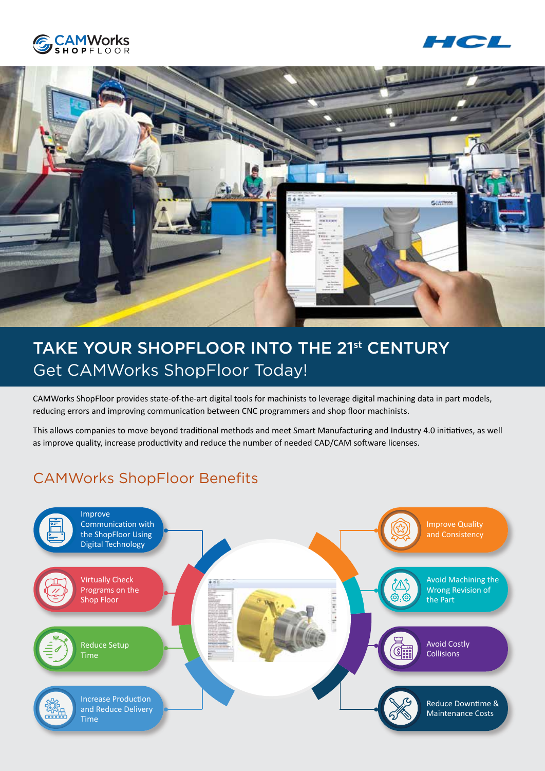





# TAKE YOUR SHOPFLOOR INTO THE 21st CENTURY Get CAMWorks ShopFloor Today!

CAMWorks ShopFloor provides state-of-the-art digital tools for machinists to leverage digital machining data in part models, reducing errors and improving communication between CNC programmers and shop floor machinists.

This allows companies to move beyond traditional methods and meet Smart Manufacturing and Industry 4.0 initiatives, as well as improve quality, increase productivity and reduce the number of needed CAD/CAM software licenses.

### CAMWorks ShopFloor Benefits